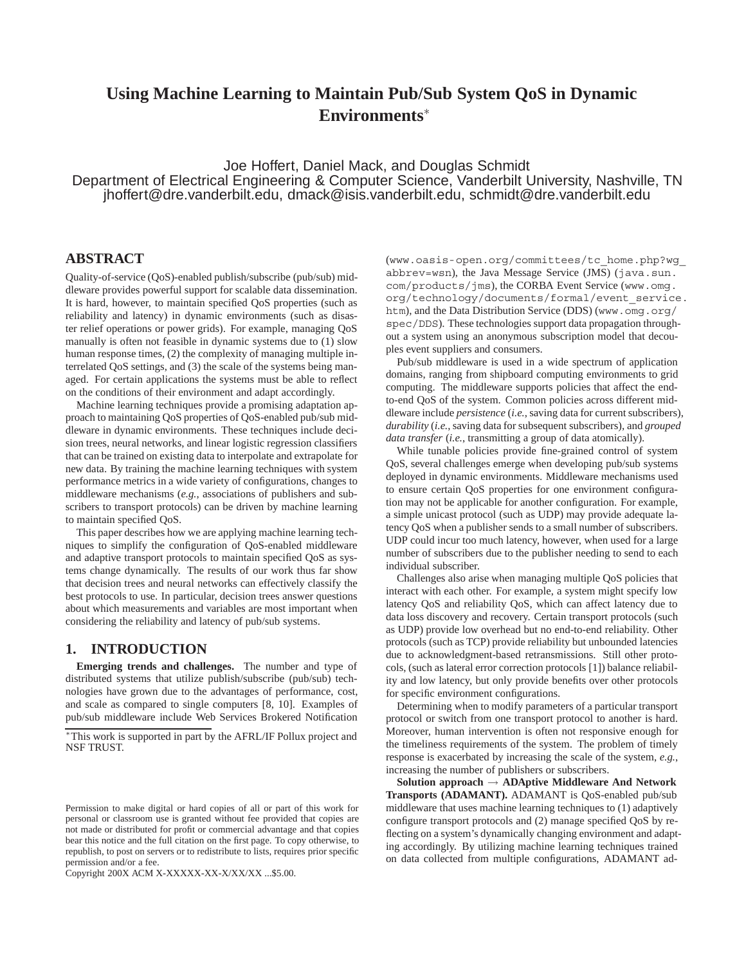# **Using Machine Learning to Maintain Pub/Sub System QoS in Dynamic Environments**<sup>∗</sup>

Joe Hoffert, Daniel Mack, and Douglas Schmidt Department of Electrical Engineering & Computer Science, Vanderbilt University, Nashville, TN jhoffert@dre.vanderbilt.edu, dmack@isis.vanderbilt.edu, schmidt@dre.vanderbilt.edu

# **ABSTRACT**

Quality-of-service (QoS)-enabled publish/subscribe (pub/sub) middleware provides powerful support for scalable data dissemination. It is hard, however, to maintain specified QoS properties (such as reliability and latency) in dynamic environments (such as disaster relief operations or power grids). For example, managing QoS manually is often not feasible in dynamic systems due to (1) slow human response times, (2) the complexity of managing multiple interrelated QoS settings, and (3) the scale of the systems being managed. For certain applications the systems must be able to reflect on the conditions of their environment and adapt accordingly.

Machine learning techniques provide a promising adaptation approach to maintaining QoS properties of QoS-enabled pub/sub middleware in dynamic environments. These techniques include decision trees, neural networks, and linear logistic regression classifiers that can be trained on existing data to interpolate and extrapolate for new data. By training the machine learning techniques with system performance metrics in a wide variety of configurations, changes to middleware mechanisms (*e.g.*, associations of publishers and subscribers to transport protocols) can be driven by machine learning to maintain specified QoS.

This paper describes how we are applying machine learning techniques to simplify the configuration of QoS-enabled middleware and adaptive transport protocols to maintain specified QoS as systems change dynamically. The results of our work thus far show that decision trees and neural networks can effectively classify the best protocols to use. In particular, decision trees answer questions about which measurements and variables are most important when considering the reliability and latency of pub/sub systems.

# **1. INTRODUCTION**

**Emerging trends and challenges.** The number and type of distributed systems that utilize publish/subscribe (pub/sub) technologies have grown due to the advantages of performance, cost, and scale as compared to single computers [8, 10]. Examples of pub/sub middleware include Web Services Brokered Notification

Copyright 200X ACM X-XXXXX-XX-X/XX/XX ...\$5.00.

(www.oasis-open.org/committees/tc\_home.php?wg\_ abbrev=wsn), the Java Message Service (JMS) (java.sun. com/products/jms), the CORBA Event Service (www.omg. org/technology/documents/formal/event\_service. htm), and the Data Distribution Service (DDS) (www.omg.org/ spec/DDS). These technologies support data propagation throughout a system using an anonymous subscription model that decouples event suppliers and consumers.

Pub/sub middleware is used in a wide spectrum of application domains, ranging from shipboard computing environments to grid computing. The middleware supports policies that affect the endto-end QoS of the system. Common policies across different middleware include *persistence* (*i.e.*, saving data for current subscribers), *durability* (*i.e.*, saving data for subsequent subscribers), and *grouped data transfer* (*i.e.*, transmitting a group of data atomically).

While tunable policies provide fine-grained control of system QoS, several challenges emerge when developing pub/sub systems deployed in dynamic environments. Middleware mechanisms used to ensure certain QoS properties for one environment configuration may not be applicable for another configuration. For example, a simple unicast protocol (such as UDP) may provide adequate latency QoS when a publisher sends to a small number of subscribers. UDP could incur too much latency, however, when used for a large number of subscribers due to the publisher needing to send to each individual subscriber.

Challenges also arise when managing multiple QoS policies that interact with each other. For example, a system might specify low latency QoS and reliability QoS, which can affect latency due to data loss discovery and recovery. Certain transport protocols (such as UDP) provide low overhead but no end-to-end reliability. Other protocols (such as TCP) provide reliability but unbounded latencies due to acknowledgment-based retransmissions. Still other protocols, (such as lateral error correction protocols [1]) balance reliability and low latency, but only provide benefits over other protocols for specific environment configurations.

Determining when to modify parameters of a particular transport protocol or switch from one transport protocol to another is hard. Moreover, human intervention is often not responsive enough for the timeliness requirements of the system. The problem of timely response is exacerbated by increasing the scale of the system, *e.g.*, increasing the number of publishers or subscribers.

**Solution approach** → **ADAptive Middleware And Network Transports (ADAMANT).** ADAMANT is QoS-enabled pub/sub middleware that uses machine learning techniques to (1) adaptively configure transport protocols and (2) manage specified QoS by reflecting on a system's dynamically changing environment and adapting accordingly. By utilizing machine learning techniques trained on data collected from multiple configurations, ADAMANT ad-

<sup>∗</sup>This work is supported in part by the AFRL/IF Pollux project and NSF TRUST.

Permission to make digital or hard copies of all or part of this work for personal or classroom use is granted without fee provided that copies are not made or distributed for profit or commercial advantage and that copies bear this notice and the full citation on the first page. To copy otherwise, to republish, to post on servers or to redistribute to lists, requires prior specific permission and/or a fee.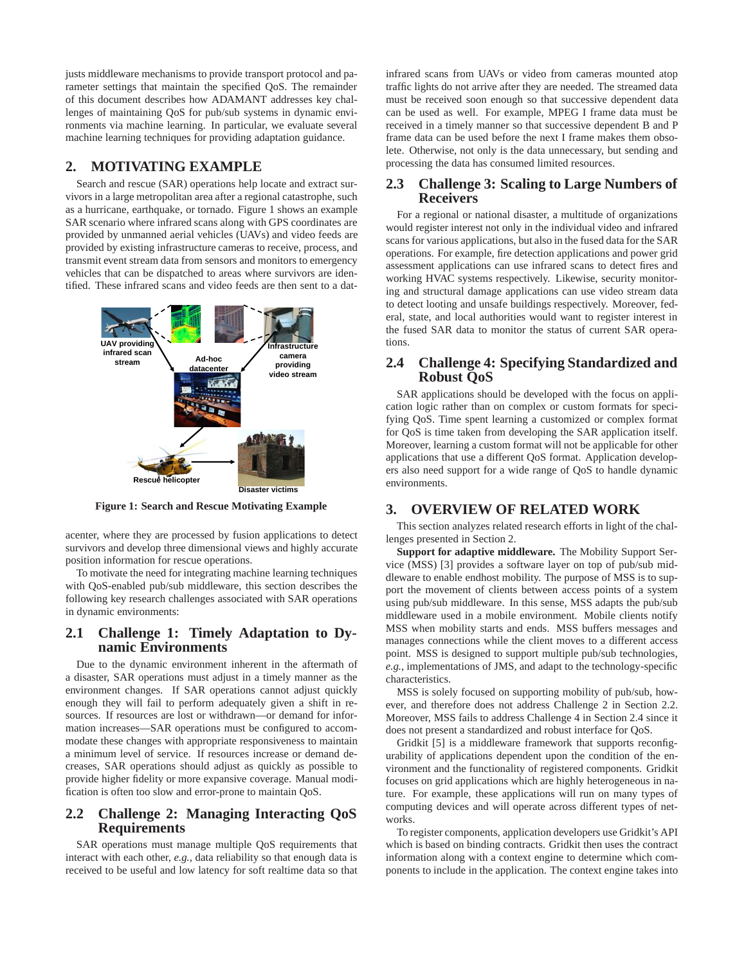justs middleware mechanisms to provide transport protocol and parameter settings that maintain the specified QoS. The remainder of this document describes how ADAMANT addresses key challenges of maintaining QoS for pub/sub systems in dynamic environments via machine learning. In particular, we evaluate several machine learning techniques for providing adaptation guidance.

# **2. MOTIVATING EXAMPLE**

Search and rescue (SAR) operations help locate and extract survivors in a large metropolitan area after a regional catastrophe, such as a hurricane, earthquake, or tornado. Figure 1 shows an example SAR scenario where infrared scans along with GPS coordinates are provided by unmanned aerial vehicles (UAVs) and video feeds are provided by existing infrastructure cameras to receive, process, and transmit event stream data from sensors and monitors to emergency vehicles that can be dispatched to areas where survivors are identified. These infrared scans and video feeds are then sent to a dat-



**Figure 1: Search and Rescue Motivating Example**

acenter, where they are processed by fusion applications to detect survivors and develop three dimensional views and highly accurate position information for rescue operations.

To motivate the need for integrating machine learning techniques with QoS-enabled pub/sub middleware, this section describes the following key research challenges associated with SAR operations in dynamic environments:

### **2.1 Challenge 1: Timely Adaptation to Dynamic Environments**

Due to the dynamic environment inherent in the aftermath of a disaster, SAR operations must adjust in a timely manner as the environment changes. If SAR operations cannot adjust quickly enough they will fail to perform adequately given a shift in resources. If resources are lost or withdrawn—or demand for information increases—SAR operations must be configured to accommodate these changes with appropriate responsiveness to maintain a minimum level of service. If resources increase or demand decreases, SAR operations should adjust as quickly as possible to provide higher fidelity or more expansive coverage. Manual modification is often too slow and error-prone to maintain QoS.

# **2.2 Challenge 2: Managing Interacting QoS Requirements**

SAR operations must manage multiple QoS requirements that interact with each other, *e.g.*, data reliability so that enough data is received to be useful and low latency for soft realtime data so that infrared scans from UAVs or video from cameras mounted atop traffic lights do not arrive after they are needed. The streamed data must be received soon enough so that successive dependent data can be used as well. For example, MPEG I frame data must be received in a timely manner so that successive dependent B and P frame data can be used before the next I frame makes them obsolete. Otherwise, not only is the data unnecessary, but sending and processing the data has consumed limited resources.

### **2.3 Challenge 3: Scaling to Large Numbers of Receivers**

For a regional or national disaster, a multitude of organizations would register interest not only in the individual video and infrared scans for various applications, but also in the fused data for the SAR operations. For example, fire detection applications and power grid assessment applications can use infrared scans to detect fires and working HVAC systems respectively. Likewise, security monitoring and structural damage applications can use video stream data to detect looting and unsafe buildings respectively. Moreover, federal, state, and local authorities would want to register interest in the fused SAR data to monitor the status of current SAR operations.

# **2.4 Challenge 4: Specifying Standardized and Robust QoS**

SAR applications should be developed with the focus on application logic rather than on complex or custom formats for specifying QoS. Time spent learning a customized or complex format for QoS is time taken from developing the SAR application itself. Moreover, learning a custom format will not be applicable for other applications that use a different QoS format. Application developers also need support for a wide range of QoS to handle dynamic environments.

# **3. OVERVIEW OF RELATED WORK**

This section analyzes related research efforts in light of the challenges presented in Section 2.

**Support for adaptive middleware.** The Mobility Support Service (MSS) [3] provides a software layer on top of pub/sub middleware to enable endhost mobility. The purpose of MSS is to support the movement of clients between access points of a system using pub/sub middleware. In this sense, MSS adapts the pub/sub middleware used in a mobile environment. Mobile clients notify MSS when mobility starts and ends. MSS buffers messages and manages connections while the client moves to a different access point. MSS is designed to support multiple pub/sub technologies, *e.g.*, implementations of JMS, and adapt to the technology-specific characteristics.

MSS is solely focused on supporting mobility of pub/sub, however, and therefore does not address Challenge 2 in Section 2.2. Moreover, MSS fails to address Challenge 4 in Section 2.4 since it does not present a standardized and robust interface for QoS.

Gridkit [5] is a middleware framework that supports reconfigurability of applications dependent upon the condition of the environment and the functionality of registered components. Gridkit focuses on grid applications which are highly heterogeneous in nature. For example, these applications will run on many types of computing devices and will operate across different types of networks.

To register components, application developers use Gridkit's API which is based on binding contracts. Gridkit then uses the contract information along with a context engine to determine which components to include in the application. The context engine takes into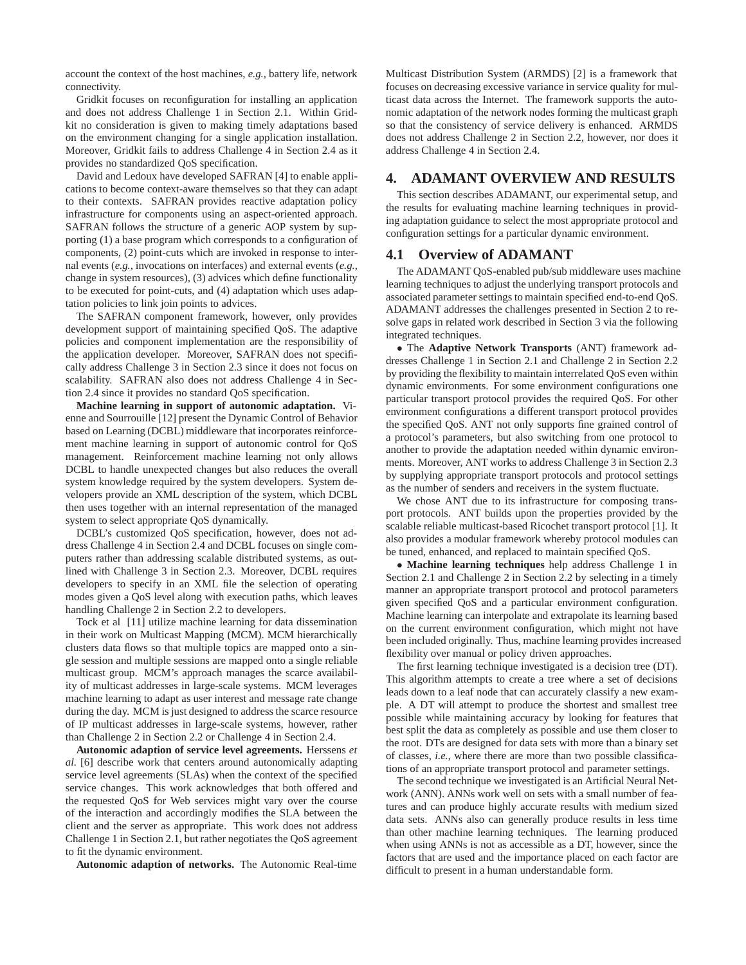account the context of the host machines, *e.g.*, battery life, network connectivity.

Gridkit focuses on reconfiguration for installing an application and does not address Challenge 1 in Section 2.1. Within Gridkit no consideration is given to making timely adaptations based on the environment changing for a single application installation. Moreover, Gridkit fails to address Challenge 4 in Section 2.4 as it provides no standardized QoS specification.

David and Ledoux have developed SAFRAN [4] to enable applications to become context-aware themselves so that they can adapt to their contexts. SAFRAN provides reactive adaptation policy infrastructure for components using an aspect-oriented approach. SAFRAN follows the structure of a generic AOP system by supporting (1) a base program which corresponds to a configuration of components, (2) point-cuts which are invoked in response to internal events (*e.g.*, invocations on interfaces) and external events (*e.g.*, change in system resources), (3) advices which define functionality to be executed for point-cuts, and (4) adaptation which uses adaptation policies to link join points to advices.

The SAFRAN component framework, however, only provides development support of maintaining specified QoS. The adaptive policies and component implementation are the responsibility of the application developer. Moreover, SAFRAN does not specifically address Challenge 3 in Section 2.3 since it does not focus on scalability. SAFRAN also does not address Challenge 4 in Section 2.4 since it provides no standard QoS specification.

**Machine learning in support of autonomic adaptation.** Vienne and Sourrouille [12] present the Dynamic Control of Behavior based on Learning (DCBL) middleware that incorporates reinforcement machine learning in support of autonomic control for QoS management. Reinforcement machine learning not only allows DCBL to handle unexpected changes but also reduces the overall system knowledge required by the system developers. System developers provide an XML description of the system, which DCBL then uses together with an internal representation of the managed system to select appropriate QoS dynamically.

DCBL's customized QoS specification, however, does not address Challenge 4 in Section 2.4 and DCBL focuses on single computers rather than addressing scalable distributed systems, as outlined with Challenge 3 in Section 2.3. Moreover, DCBL requires developers to specify in an XML file the selection of operating modes given a QoS level along with execution paths, which leaves handling Challenge 2 in Section 2.2 to developers.

Tock et al [11] utilize machine learning for data dissemination in their work on Multicast Mapping (MCM). MCM hierarchically clusters data flows so that multiple topics are mapped onto a single session and multiple sessions are mapped onto a single reliable multicast group. MCM's approach manages the scarce availability of multicast addresses in large-scale systems. MCM leverages machine learning to adapt as user interest and message rate change during the day. MCM is just designed to address the scarce resource of IP multicast addresses in large-scale systems, however, rather than Challenge 2 in Section 2.2 or Challenge 4 in Section 2.4.

**Autonomic adaption of service level agreements.** Herssens *et al.* [6] describe work that centers around autonomically adapting service level agreements (SLAs) when the context of the specified service changes. This work acknowledges that both offered and the requested QoS for Web services might vary over the course of the interaction and accordingly modifies the SLA between the client and the server as appropriate. This work does not address Challenge 1 in Section 2.1, but rather negotiates the QoS agreement to fit the dynamic environment.

**Autonomic adaption of networks.** The Autonomic Real-time

Multicast Distribution System (ARMDS) [2] is a framework that focuses on decreasing excessive variance in service quality for multicast data across the Internet. The framework supports the autonomic adaptation of the network nodes forming the multicast graph so that the consistency of service delivery is enhanced. ARMDS does not address Challenge 2 in Section 2.2, however, nor does it address Challenge 4 in Section 2.4.

### **4. ADAMANT OVERVIEW AND RESULTS**

This section describes ADAMANT, our experimental setup, and the results for evaluating machine learning techniques in providing adaptation guidance to select the most appropriate protocol and configuration settings for a particular dynamic environment.

#### **4.1 Overview of ADAMANT**

The ADAMANT QoS-enabled pub/sub middleware uses machine learning techniques to adjust the underlying transport protocols and associated parameter settings to maintain specified end-to-end QoS. ADAMANT addresses the challenges presented in Section 2 to resolve gaps in related work described in Section 3 via the following integrated techniques.

• The **Adaptive Network Transports** (ANT) framework addresses Challenge 1 in Section 2.1 and Challenge 2 in Section 2.2 by providing the flexibility to maintain interrelated QoS even within dynamic environments. For some environment configurations one particular transport protocol provides the required QoS. For other environment configurations a different transport protocol provides the specified QoS. ANT not only supports fine grained control of a protocol's parameters, but also switching from one protocol to another to provide the adaptation needed within dynamic environments. Moreover, ANT works to address Challenge 3 in Section 2.3 by supplying appropriate transport protocols and protocol settings as the number of senders and receivers in the system fluctuate.

We chose ANT due to its infrastructure for composing transport protocols. ANT builds upon the properties provided by the scalable reliable multicast-based Ricochet transport protocol [1]. It also provides a modular framework whereby protocol modules can be tuned, enhanced, and replaced to maintain specified QoS.

• **Machine learning techniques** help address Challenge 1 in Section 2.1 and Challenge 2 in Section 2.2 by selecting in a timely manner an appropriate transport protocol and protocol parameters given specified QoS and a particular environment configuration. Machine learning can interpolate and extrapolate its learning based on the current environment configuration, which might not have been included originally. Thus, machine learning provides increased flexibility over manual or policy driven approaches.

The first learning technique investigated is a decision tree (DT). This algorithm attempts to create a tree where a set of decisions leads down to a leaf node that can accurately classify a new example. A DT will attempt to produce the shortest and smallest tree possible while maintaining accuracy by looking for features that best split the data as completely as possible and use them closer to the root. DTs are designed for data sets with more than a binary set of classes, *i.e.*, where there are more than two possible classifications of an appropriate transport protocol and parameter settings.

The second technique we investigated is an Artificial Neural Network (ANN). ANNs work well on sets with a small number of features and can produce highly accurate results with medium sized data sets. ANNs also can generally produce results in less time than other machine learning techniques. The learning produced when using ANNs is not as accessible as a DT, however, since the factors that are used and the importance placed on each factor are difficult to present in a human understandable form.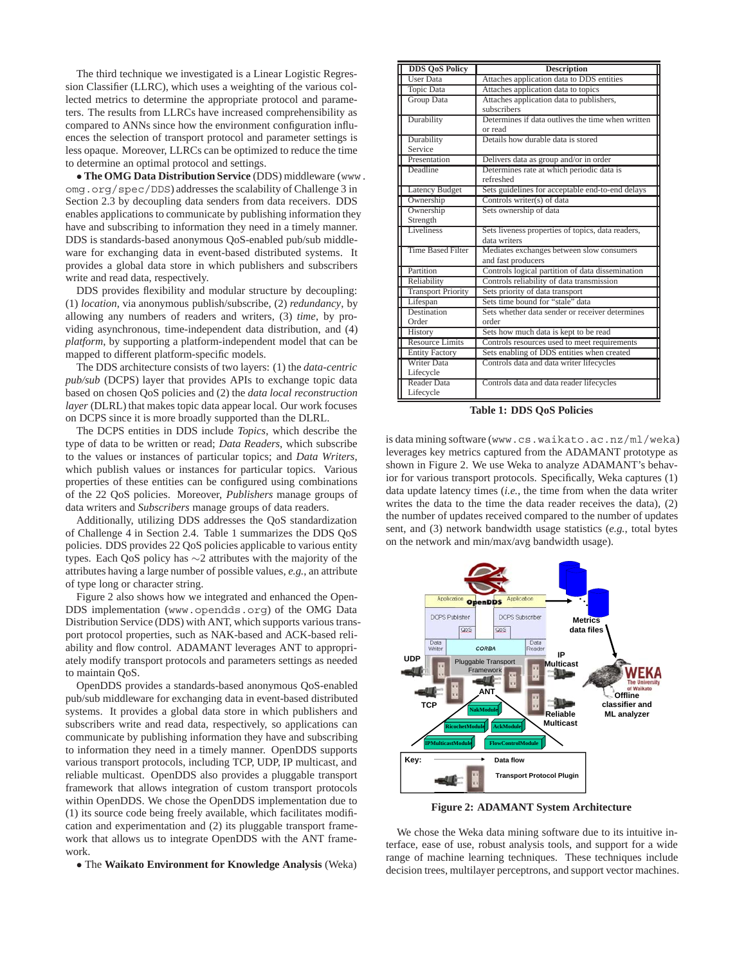The third technique we investigated is a Linear Logistic Regression Classifier (LLRC), which uses a weighting of the various collected metrics to determine the appropriate protocol and parameters. The results from LLRCs have increased comprehensibility as compared to ANNs since how the environment configuration influences the selection of transport protocol and parameter settings is less opaque. Moreover, LLRCs can be optimized to reduce the time to determine an optimal protocol and settings.

• **The OMG Data Distribution Service** (DDS) middleware (www. omg.org/spec/DDS) addresses the scalability of Challenge 3 in Section 2.3 by decoupling data senders from data receivers. DDS enables applications to communicate by publishing information they have and subscribing to information they need in a timely manner. DDS is standards-based anonymous QoS-enabled pub/sub middleware for exchanging data in event-based distributed systems. It provides a global data store in which publishers and subscribers write and read data, respectively.

DDS provides flexibility and modular structure by decoupling: (1) *location*, via anonymous publish/subscribe, (2) *redundancy*, by allowing any numbers of readers and writers, (3) *time*, by providing asynchronous, time-independent data distribution, and (4) *platform*, by supporting a platform-independent model that can be mapped to different platform-specific models.

The DDS architecture consists of two layers: (1) the *data-centric pub/sub* (DCPS) layer that provides APIs to exchange topic data based on chosen QoS policies and (2) the *data local reconstruction layer* (DLRL) that makes topic data appear local. Our work focuses on DCPS since it is more broadly supported than the DLRL.

The DCPS entities in DDS include *Topics*, which describe the type of data to be written or read; *Data Readers*, which subscribe to the values or instances of particular topics; and *Data Writers*, which publish values or instances for particular topics. Various properties of these entities can be configured using combinations of the 22 QoS policies. Moreover, *Publishers* manage groups of data writers and *Subscribers* manage groups of data readers.

Additionally, utilizing DDS addresses the QoS standardization of Challenge 4 in Section 2.4. Table 1 summarizes the DDS QoS policies. DDS provides 22 QoS policies applicable to various entity types. Each QoS policy has ∼2 attributes with the majority of the attributes having a large number of possible values, *e.g.*, an attribute of type long or character string.

Figure 2 also shows how we integrated and enhanced the Open-DDS implementation (www.opendds.org) of the OMG Data Distribution Service (DDS) with ANT, which supports various transport protocol properties, such as NAK-based and ACK-based reliability and flow control. ADAMANT leverages ANT to appropriately modify transport protocols and parameters settings as needed to maintain QoS.

OpenDDS provides a standards-based anonymous QoS-enabled pub/sub middleware for exchanging data in event-based distributed systems. It provides a global data store in which publishers and subscribers write and read data, respectively, so applications can communicate by publishing information they have and subscribing to information they need in a timely manner. OpenDDS supports various transport protocols, including TCP, UDP, IP multicast, and reliable multicast. OpenDDS also provides a pluggable transport framework that allows integration of custom transport protocols within OpenDDS. We chose the OpenDDS implementation due to (1) its source code being freely available, which facilitates modification and experimentation and (2) its pluggable transport framework that allows us to integrate OpenDDS with the ANT framework.

• The **Waikato Environment for Knowledge Analysis** (Weka)

| <b>DDS QoS Policy</b>     | <b>Description</b>                                |  |
|---------------------------|---------------------------------------------------|--|
| <b>User Data</b>          | Attaches application data to DDS entities         |  |
| <b>Topic Data</b>         | Attaches application data to topics               |  |
| <b>Group Data</b>         | Attaches application data to publishers,          |  |
|                           | subscribers                                       |  |
| Durability                | Determines if data outlives the time when written |  |
|                           | or read                                           |  |
| Durability                | Details how durable data is stored                |  |
| Service                   |                                                   |  |
| Presentation              | Delivers data as group and/or in order            |  |
| Deadline                  | Determines rate at which periodic data is         |  |
|                           | refreshed                                         |  |
| <b>Latency Budget</b>     | Sets guidelines for acceptable end-to-end delays  |  |
| Ownership                 | Controls writer(s) of data                        |  |
| Ownership                 | Sets ownership of data                            |  |
| Strength                  |                                                   |  |
| Liveliness                | Sets liveness properties of topics, data readers, |  |
|                           | data writers                                      |  |
| <b>Time Based Filter</b>  | Mediates exchanges between slow consumers         |  |
|                           | and fast producers                                |  |
| Partition                 | Controls logical partition of data dissemination  |  |
| Reliability               | Controls reliability of data transmission         |  |
| <b>Transport Priority</b> | Sets priority of data transport                   |  |
| Lifespan                  | Sets time bound for "stale" data                  |  |
| Destination               | Sets whether data sender or receiver determines   |  |
| Order                     | order                                             |  |
| History                   | Sets how much data is kept to be read             |  |
| Resource Limits           | Controls resources used to meet requirements      |  |
| <b>Entity Factory</b>     | Sets enabling of DDS entities when created        |  |
| Writer Data               | Controls data and data writer lifecycles          |  |
| Lifecycle                 |                                                   |  |
| Reader Data               | Controls data and data reader lifecycles          |  |
| Lifecycle                 |                                                   |  |

**Table 1: DDS QoS Policies**

is data mining software (www.cs.waikato.ac.nz/ml/weka) leverages key metrics captured from the ADAMANT prototype as shown in Figure 2. We use Weka to analyze ADAMANT's behavior for various transport protocols. Specifically, Weka captures (1) data update latency times (*i.e.*, the time from when the data writer writes the data to the time the data reader receives the data), (2) the number of updates received compared to the number of updates sent, and (3) network bandwidth usage statistics (*e.g.*, total bytes on the network and min/max/avg bandwidth usage).



**Figure 2: ADAMANT System Architecture**

We chose the Weka data mining software due to its intuitive interface, ease of use, robust analysis tools, and support for a wide range of machine learning techniques. These techniques include decision trees, multilayer perceptrons, and support vector machines.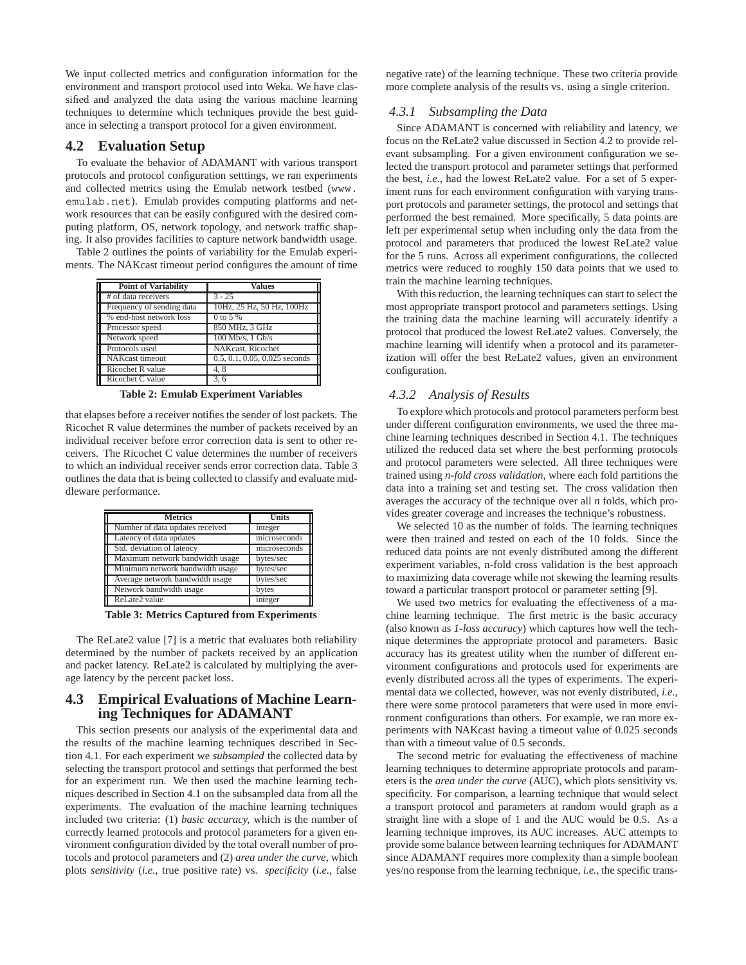We input collected metrics and configuration information for the environment and transport protocol used into Weka. We have classified and analyzed the data using the various machine learning techniques to determine which techniques provide the best guidance in selecting a transport protocol for a given environment.

## **4.2 Evaluation Setup**

To evaluate the behavior of ADAMANT with various transport protocols and protocol configuration setttings, we ran experiments and collected metrics using the Emulab network testbed (www. emulab.net). Emulab provides computing platforms and network resources that can be easily configured with the desired computing platform, OS, network topology, and network traffic shaping. It also provides facilities to capture network bandwidth usage.

Table 2 outlines the points of variability for the Emulab experiments. The NAKcast timeout period configures the amount of time

| <b>Point of Variability</b> | Values                          |  |
|-----------------------------|---------------------------------|--|
| # of data receivers         | $3 - 25$                        |  |
| Frequency of sending data   | 10Hz, 25 Hz, 50 Hz, 100Hz       |  |
| % end-host network loss     | 0 to 5 %                        |  |
| Processor speed             | 850 MHz, 3 GHz                  |  |
| Network speed               | $100$ Mb/s, $1$ Gb/s            |  |
| Protocols used              | NAKcast, Ricochet               |  |
| NAKcast timeout             | $0.5, 0.1, 0.05, 0.025$ seconds |  |
| Ricochet R value            | 4,8                             |  |
| Ricochet C value            | 3, 6                            |  |

**Table 2: Emulab Experiment Variables**

that elapses before a receiver notifies the sender of lost packets. The Ricochet R value determines the number of packets received by an individual receiver before error correction data is sent to other receivers. The Ricochet C value determines the number of receivers to which an individual receiver sends error correction data. Table 3 outlines the data that is being collected to classify and evaluate middleware performance.

| <b>Metrics</b>                  | Units        |
|---------------------------------|--------------|
| Number of data updates received | integer      |
| Latency of data updates         | microseconds |
| Std. deviation of latency       | microseconds |
| Maximum network bandwidth usage | bytes/sec    |
| Minimum network bandwidth usage | bytes/sec    |
| Average network bandwidth usage | bytes/sec    |
| Network bandwidth usage         | bytes        |
| ReLate2 value                   | integer      |

**Table 3: Metrics Captured from Experiments**

The ReLate2 value [7] is a metric that evaluates both reliability determined by the number of packets received by an application and packet latency. ReLate2 is calculated by multiplying the average latency by the percent packet loss.

# **4.3 Empirical Evaluations of Machine Learning Techniques for ADAMANT**

This section presents our analysis of the experimental data and the results of the machine learning techniques described in Section 4.1. For each experiment we *subsampled* the collected data by selecting the transport protocol and settings that performed the best for an experiment run. We then used the machine learning techniques described in Section 4.1 on the subsampled data from all the experiments. The evaluation of the machine learning techniques included two criteria: (1) *basic accuracy,* which is the number of correctly learned protocols and protocol parameters for a given environment configuration divided by the total overall number of protocols and protocol parameters and (2) *area under the curve*, which plots *sensitivity* (*i.e.*, true positive rate) vs. *specificity* (*i.e.*, false

negative rate) of the learning technique. These two criteria provide more complete analysis of the results vs. using a single criterion.

#### *4.3.1 Subsampling the Data*

Since ADAMANT is concerned with reliability and latency, we focus on the ReLate2 value discussed in Section 4.2 to provide relevant subsampling. For a given environment configuration we selected the transport protocol and parameter settings that performed the best, *i.e.*, had the lowest ReLate2 value. For a set of 5 experiment runs for each environment configuration with varying transport protocols and parameter settings, the protocol and settings that performed the best remained. More specifically, 5 data points are left per experimental setup when including only the data from the protocol and parameters that produced the lowest ReLate2 value for the 5 runs. Across all experiment configurations, the collected metrics were reduced to roughly 150 data points that we used to train the machine learning techniques.

With this reduction, the learning techniques can start to select the most appropriate transport protocol and parameters settings. Using the training data the machine learning will accurately identify a protocol that produced the lowest ReLate2 values. Conversely, the machine learning will identify when a protocol and its parameterization will offer the best ReLate2 values, given an environment configuration.

#### *4.3.2 Analysis of Results*

To explore which protocols and protocol parameters perform best under different configuration environments, we used the three machine learning techniques described in Section 4.1. The techniques utilized the reduced data set where the best performing protocols and protocol parameters were selected. All three techniques were trained using *n-fold cross validation*, where each fold partitions the data into a training set and testing set. The cross validation then averages the accuracy of the technique over all *n* folds, which provides greater coverage and increases the technique's robustness.

We selected 10 as the number of folds. The learning techniques were then trained and tested on each of the 10 folds. Since the reduced data points are not evenly distributed among the different experiment variables, n-fold cross validation is the best approach to maximizing data coverage while not skewing the learning results toward a particular transport protocol or parameter setting [9].

We used two metrics for evaluating the effectiveness of a machine learning technique. The first metric is the basic accuracy (also known as *1-loss accuracy*) which captures how well the technique determines the appropriate protocol and parameters. Basic accuracy has its greatest utility when the number of different environment configurations and protocols used for experiments are evenly distributed across all the types of experiments. The experimental data we collected, however, was not evenly distributed, *i.e.*, there were some protocol parameters that were used in more environment configurations than others. For example, we ran more experiments with NAKcast having a timeout value of 0.025 seconds than with a timeout value of 0.5 seconds.

The second metric for evaluating the effectiveness of machine learning techniques to determine appropriate protocols and parameters is the *area under the curve* (AUC), which plots sensitivity vs. specificity. For comparison, a learning technique that would select a transport protocol and parameters at random would graph as a straight line with a slope of 1 and the AUC would be 0.5. As a learning technique improves, its AUC increases. AUC attempts to provide some balance between learning techniques for ADAMANT since ADAMANT requires more complexity than a simple boolean yes/no response from the learning technique, *i.e.*, the specific trans